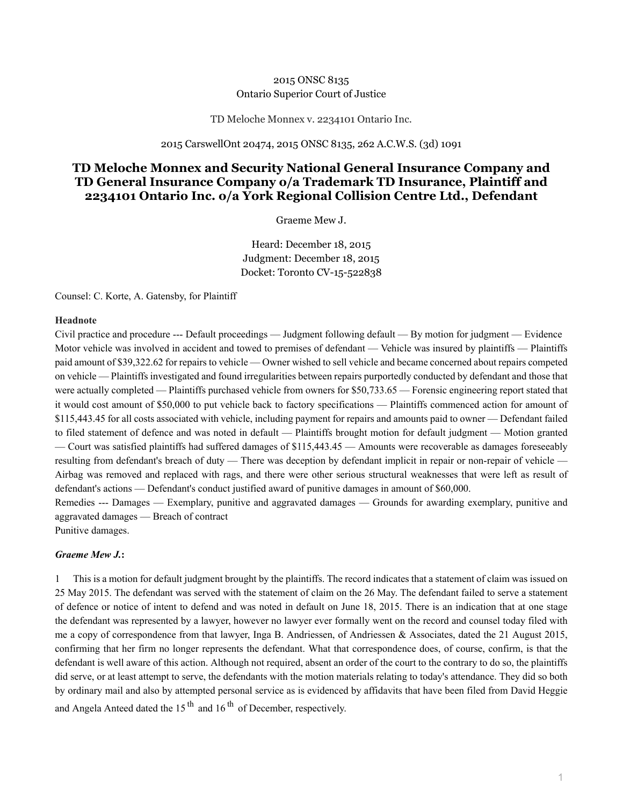## 2015 ONSC 8135 Ontario Superior Court of Justice

## TD Meloche Monnex v. 2234101 Ontario Inc.

## 2015 CarswellOnt 20474, 2015 ONSC 8135, 262 A.C.W.S. (3d) 1091

## **TD Meloche Monnex and Security National General Insurance Company and TD General Insurance Company o/a Trademark TD Insurance, Plaintiff and 2234101 Ontario Inc. o/a York Regional Collision Centre Ltd., Defendant**

Graeme Mew J.

Heard: December 18, 2015 Judgment: December 18, 2015 Docket: Toronto CV-15-522838

Counsel: C. Korte, A. Gatensby, for Plaintiff

### **Headnote**

Civil practice and procedure --- Default proceedings — Judgment following default — By motion for judgment — Evidence Motor vehicle was involved in accident and towed to premises of defendant — Vehicle was insured by plaintiffs — Plaintiffs paid amount of \$39,322.62 for repairs to vehicle — Owner wished to sell vehicle and became concerned about repairs competed on vehicle — Plaintiffs investigated and found irregularities between repairs purportedly conducted by defendant and those that were actually completed — Plaintiffs purchased vehicle from owners for \$50,733.65 — Forensic engineering report stated that it would cost amount of \$50,000 to put vehicle back to factory specifications — Plaintiffs commenced action for amount of \$115,443.45 for all costs associated with vehicle, including payment for repairs and amounts paid to owner — Defendant failed to filed statement of defence and was noted in default — Plaintiffs brought motion for default judgment — Motion granted — Court was satisfied plaintiffs had suffered damages of \$115,443.45 — Amounts were recoverable as damages foreseeably resulting from defendant's breach of duty — There was deception by defendant implicit in repair or non-repair of vehicle — Airbag was removed and replaced with rags, and there were other serious structural weaknesses that were left as result of defendant's actions — Defendant's conduct justified award of punitive damages in amount of \$60,000.

Remedies --- Damages — Exemplary, punitive and aggravated damages — Grounds for awarding exemplary, punitive and aggravated damages — Breach of contract Punitive damages.

# *Graeme Mew J.***:**

1 This is a motion for default judgment brought by the plaintiffs. The record indicates that a statement of claim was issued on 25 May 2015. The defendant was served with the statement of claim on the 26 May. The defendant failed to serve a statement of defence or notice of intent to defend and was noted in default on June 18, 2015. There is an indication that at one stage the defendant was represented by a lawyer, however no lawyer ever formally went on the record and counsel today filed with me a copy of correspondence from that lawyer, Inga B. Andriessen, of Andriessen & Associates, dated the 21 August 2015, confirming that her firm no longer represents the defendant. What that correspondence does, of course, confirm, is that the defendant is well aware of this action. Although not required, absent an order of the court to the contrary to do so, the plaintiffs did serve, or at least attempt to serve, the defendants with the motion materials relating to today's attendance. They did so both by ordinary mail and also by attempted personal service as is evidenced by affidavits that have been filed from David Heggie and Angela Anteed dated the  $15<sup>th</sup>$  and  $16<sup>th</sup>$  of December, respectively.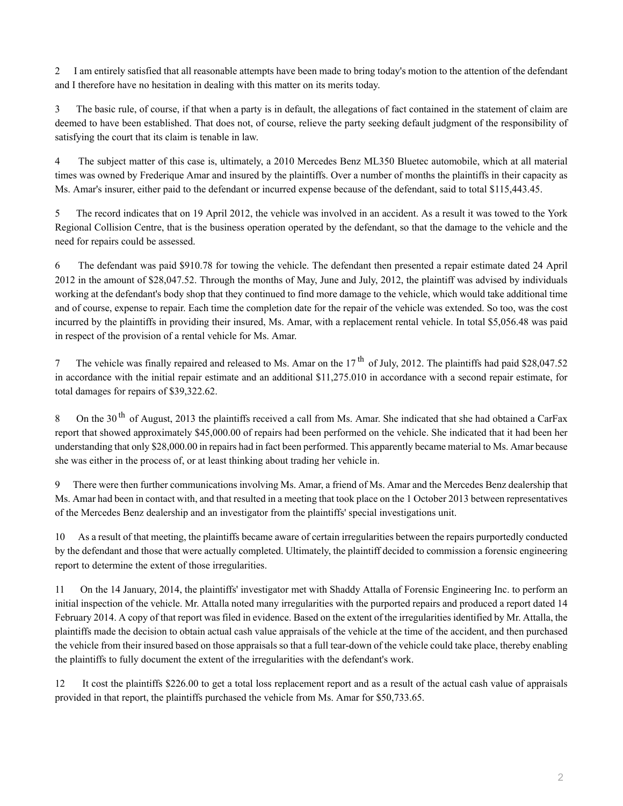2 I am entirely satisfied that all reasonable attempts have been made to bring today's motion to the attention of the defendant and I therefore have no hesitation in dealing with this matter on its merits today.

3 The basic rule, of course, if that when a party is in default, the allegations of fact contained in the statement of claim are deemed to have been established. That does not, of course, relieve the party seeking default judgment of the responsibility of satisfying the court that its claim is tenable in law.

4 The subject matter of this case is, ultimately, a 2010 Mercedes Benz ML350 Bluetec automobile, which at all material times was owned by Frederique Amar and insured by the plaintiffs. Over a number of months the plaintiffs in their capacity as Ms. Amar's insurer, either paid to the defendant or incurred expense because of the defendant, said to total \$115,443.45.

5 The record indicates that on 19 April 2012, the vehicle was involved in an accident. As a result it was towed to the York Regional Collision Centre, that is the business operation operated by the defendant, so that the damage to the vehicle and the need for repairs could be assessed.

6 The defendant was paid \$910.78 for towing the vehicle. The defendant then presented a repair estimate dated 24 April 2012 in the amount of \$28,047.52. Through the months of May, June and July, 2012, the plaintiff was advised by individuals working at the defendant's body shop that they continued to find more damage to the vehicle, which would take additional time and of course, expense to repair. Each time the completion date for the repair of the vehicle was extended. So too, was the cost incurred by the plaintiffs in providing their insured, Ms. Amar, with a replacement rental vehicle. In total \$5,056.48 was paid in respect of the provision of a rental vehicle for Ms. Amar.

7 The vehicle was finally repaired and released to Ms. Amar on the  $17<sup>th</sup>$  of July, 2012. The plaintiffs had paid \$28,047.52 in accordance with the initial repair estimate and an additional \$11,275.010 in accordance with a second repair estimate, for total damages for repairs of \$39,322.62.

8 On the 30<sup>th</sup> of August, 2013 the plaintiffs received a call from Ms. Amar. She indicated that she had obtained a CarFax report that showed approximately \$45,000.00 of repairs had been performed on the vehicle. She indicated that it had been her understanding that only \$28,000.00 in repairs had in fact been performed. This apparently became material to Ms. Amar because she was either in the process of, or at least thinking about trading her vehicle in.

9 There were then further communications involving Ms. Amar, a friend of Ms. Amar and the Mercedes Benz dealership that Ms. Amar had been in contact with, and that resulted in a meeting that took place on the 1 October 2013 between representatives of the Mercedes Benz dealership and an investigator from the plaintiffs' special investigations unit.

10 As a result of that meeting, the plaintiffs became aware of certain irregularities between the repairs purportedly conducted by the defendant and those that were actually completed. Ultimately, the plaintiff decided to commission a forensic engineering report to determine the extent of those irregularities.

11 On the 14 January, 2014, the plaintiffs' investigator met with Shaddy Attalla of Forensic Engineering Inc. to perform an initial inspection of the vehicle. Mr. Attalla noted many irregularities with the purported repairs and produced a report dated 14 February 2014. A copy of that report was filed in evidence. Based on the extent of the irregularities identified by Mr. Attalla, the plaintiffs made the decision to obtain actual cash value appraisals of the vehicle at the time of the accident, and then purchased the vehicle from their insured based on those appraisals so that a full tear-down of the vehicle could take place, thereby enabling the plaintiffs to fully document the extent of the irregularities with the defendant's work.

12 It cost the plaintiffs \$226.00 to get a total loss replacement report and as a result of the actual cash value of appraisals provided in that report, the plaintiffs purchased the vehicle from Ms. Amar for \$50,733.65.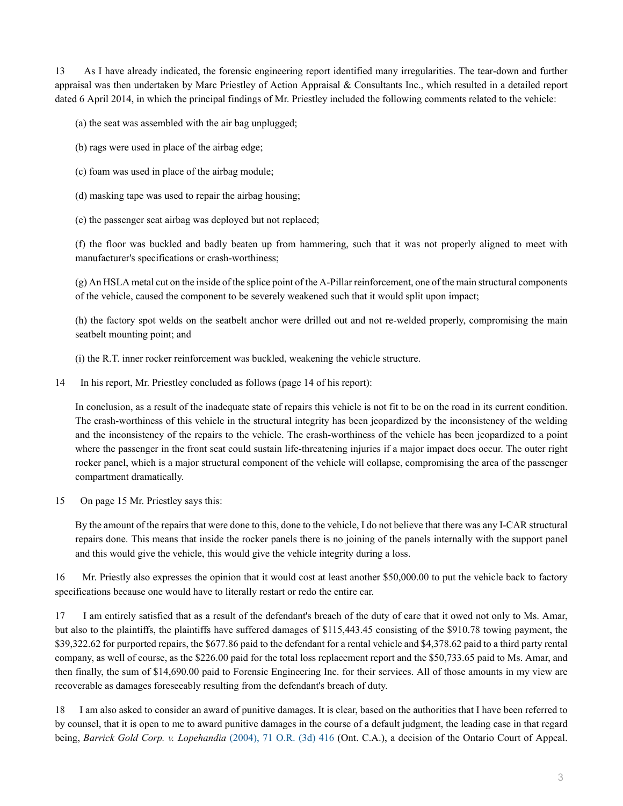13 As I have already indicated, the forensic engineering report identified many irregularities. The tear-down and further appraisal was then undertaken by Marc Priestley of Action Appraisal & Consultants Inc., which resulted in a detailed report dated 6 April 2014, in which the principal findings of Mr. Priestley included the following comments related to the vehicle:

(a) the seat was assembled with the air bag unplugged;

- (b) rags were used in place of the airbag edge;
- (c) foam was used in place of the airbag module;
- (d) masking tape was used to repair the airbag housing;
- (e) the passenger seat airbag was deployed but not replaced;

(f) the floor was buckled and badly beaten up from hammering, such that it was not properly aligned to meet with manufacturer's specifications or crash-worthiness;

(g) An HSLA metal cut on the inside of the splice point of the A-Pillar reinforcement, one of the main structural components of the vehicle, caused the component to be severely weakened such that it would split upon impact;

(h) the factory spot welds on the seatbelt anchor were drilled out and not re-welded properly, compromising the main seatbelt mounting point; and

(i) the R.T. inner rocker reinforcement was buckled, weakening the vehicle structure.

14 In his report, Mr. Priestley concluded as follows (page 14 of his report):

In conclusion, as a result of the inadequate state of repairs this vehicle is not fit to be on the road in its current condition. The crash-worthiness of this vehicle in the structural integrity has been jeopardized by the inconsistency of the welding and the inconsistency of the repairs to the vehicle. The crash-worthiness of the vehicle has been jeopardized to a point where the passenger in the front seat could sustain life-threatening injuries if a major impact does occur. The outer right rocker panel, which is a major structural component of the vehicle will collapse, compromising the area of the passenger compartment dramatically.

15 On page 15 Mr. Priestley says this:

By the amount of the repairs that were done to this, done to the vehicle, I do not believe that there was any I-CAR structural repairs done. This means that inside the rocker panels there is no joining of the panels internally with the support panel and this would give the vehicle, this would give the vehicle integrity during a loss.

16 Mr. Priestly also expresses the opinion that it would cost at least another \$50,000.00 to put the vehicle back to factory specifications because one would have to literally restart or redo the entire car.

17 I am entirely satisfied that as a result of the defendant's breach of the duty of care that it owed not only to Ms. Amar, but also to the plaintiffs, the plaintiffs have suffered damages of \$115,443.45 consisting of the \$910.78 towing payment, the \$39,322.62 for purported repairs, the \$677.86 paid to the defendant for a rental vehicle and \$4,378.62 paid to a third party rental company, as well of course, as the \$226.00 paid for the total loss replacement report and the \$50,733.65 paid to Ms. Amar, and then finally, the sum of \$14,690.00 paid to Forensic Engineering Inc. for their services. All of those amounts in my view are recoverable as damages foreseeably resulting from the defendant's breach of duty.

18 I am also asked to consider an award of punitive damages. It is clear, based on the authorities that I have been referred to by counsel, that it is open to me to award punitive damages in the course of a default judgment, the leading case in that regard being, *Barrick Gold Corp. v. Lopehandia* [\(2004\), 71 O.R. \(3d\) 416](http://nextcanada.westlaw.com/Link/Document/FullText?findType=Y&pubNum=6407&serNum=2004518155&originationContext=document&transitionType=DocumentItem&vr=3.0&rs=cblt1.0&contextData=(sc.Search)) (Ont. C.A.), a decision of the Ontario Court of Appeal.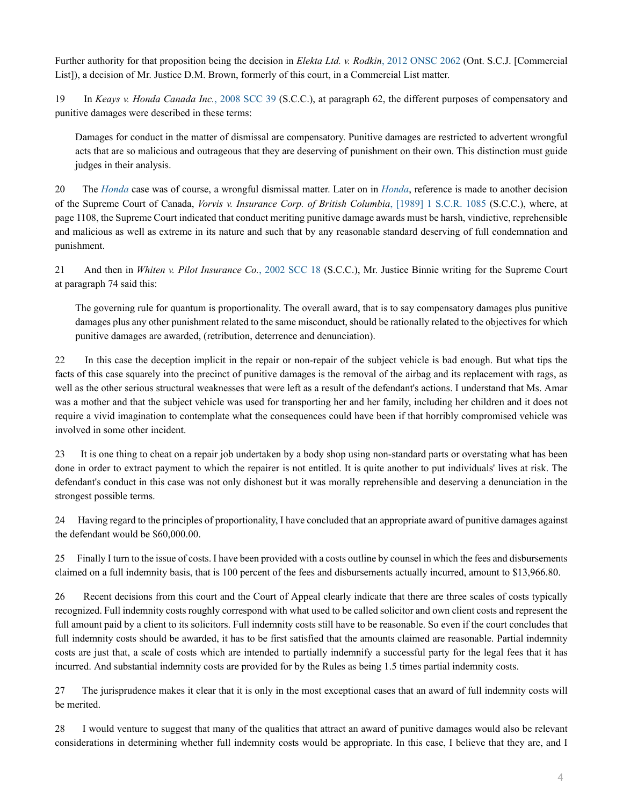Further authority for that proposition being the decision in *Elekta Ltd. v. Rodkin*[, 2012 ONSC 2062](http://nextcanada.westlaw.com/Link/Document/FullText?findType=Y&pubNum=6407&serNum=2027433805&originationContext=document&transitionType=DocumentItem&vr=3.0&rs=cblt1.0&contextData=(sc.Search)) (Ont. S.C.J. [Commercial List]), a decision of Mr. Justice D.M. Brown, formerly of this court, in a Commercial List matter.

19 In *Keays v. Honda Canada Inc.*[, 2008 SCC 39](http://nextcanada.westlaw.com/Link/Document/FullText?findType=Y&pubNum=6407&serNum=2016411516&originationContext=document&transitionType=DocumentItem&vr=3.0&rs=cblt1.0&contextData=(sc.Search)) (S.C.C.), at paragraph 62, the different purposes of compensatory and punitive damages were described in these terms:

Damages for conduct in the matter of dismissal are compensatory. Punitive damages are restricted to advertent wrongful acts that are so malicious and outrageous that they are deserving of punishment on their own. This distinction must guide judges in their analysis.

20 The *[Honda](http://nextcanada.westlaw.com/Link/Document/FullText?findType=Y&pubNum=6407&serNum=2016411516&originationContext=document&transitionType=DocumentItem&vr=3.0&rs=cblt1.0&contextData=(sc.Search))* case was of course, a wrongful dismissal matter. Later on in *[Honda](http://nextcanada.westlaw.com/Link/Document/FullText?findType=Y&pubNum=6407&serNum=2016411516&originationContext=document&transitionType=DocumentItem&vr=3.0&rs=cblt1.0&contextData=(sc.Search))*, reference is made to another decision of the Supreme Court of Canada, *Vorvis v. Insurance Corp. of British Columbia*[, \[1989\] 1 S.C.R. 1085](http://nextcanada.westlaw.com/Link/Document/FullText?findType=Y&pubNum=6407&serNum=1989313959&originationContext=document&transitionType=DocumentItem&vr=3.0&rs=cblt1.0&contextData=(sc.Search)) (S.C.C.), where, at page 1108, the Supreme Court indicated that conduct meriting punitive damage awards must be harsh, vindictive, reprehensible and malicious as well as extreme in its nature and such that by any reasonable standard deserving of full condemnation and punishment.

21 And then in *Whiten v. Pilot Insurance Co.*[, 2002 SCC 18](http://nextcanada.westlaw.com/Link/Document/FullText?findType=Y&pubNum=6407&serNum=2002056160&originationContext=document&transitionType=DocumentItem&vr=3.0&rs=cblt1.0&contextData=(sc.Search)) (S.C.C.), Mr. Justice Binnie writing for the Supreme Court at paragraph 74 said this:

The governing rule for quantum is proportionality. The overall award, that is to say compensatory damages plus punitive damages plus any other punishment related to the same misconduct, should be rationally related to the objectives for which punitive damages are awarded, (retribution, deterrence and denunciation).

22 In this case the deception implicit in the repair or non-repair of the subject vehicle is bad enough. But what tips the facts of this case squarely into the precinct of punitive damages is the removal of the airbag and its replacement with rags, as well as the other serious structural weaknesses that were left as a result of the defendant's actions. I understand that Ms. Amar was a mother and that the subject vehicle was used for transporting her and her family, including her children and it does not require a vivid imagination to contemplate what the consequences could have been if that horribly compromised vehicle was involved in some other incident.

23 It is one thing to cheat on a repair job undertaken by a body shop using non-standard parts or overstating what has been done in order to extract payment to which the repairer is not entitled. It is quite another to put individuals' lives at risk. The defendant's conduct in this case was not only dishonest but it was morally reprehensible and deserving a denunciation in the strongest possible terms.

24 Having regard to the principles of proportionality, I have concluded that an appropriate award of punitive damages against the defendant would be \$60,000.00.

25 Finally I turn to the issue of costs. I have been provided with a costs outline by counsel in which the fees and disbursements claimed on a full indemnity basis, that is 100 percent of the fees and disbursements actually incurred, amount to \$13,966.80.

26 Recent decisions from this court and the Court of Appeal clearly indicate that there are three scales of costs typically recognized. Full indemnity costs roughly correspond with what used to be called solicitor and own client costs and represent the full amount paid by a client to its solicitors. Full indemnity costs still have to be reasonable. So even if the court concludes that full indemnity costs should be awarded, it has to be first satisfied that the amounts claimed are reasonable. Partial indemnity costs are just that, a scale of costs which are intended to partially indemnify a successful party for the legal fees that it has incurred. And substantial indemnity costs are provided for by the Rules as being 1.5 times partial indemnity costs.

27 The jurisprudence makes it clear that it is only in the most exceptional cases that an award of full indemnity costs will be merited.

28 I would venture to suggest that many of the qualities that attract an award of punitive damages would also be relevant considerations in determining whether full indemnity costs would be appropriate. In this case, I believe that they are, and I